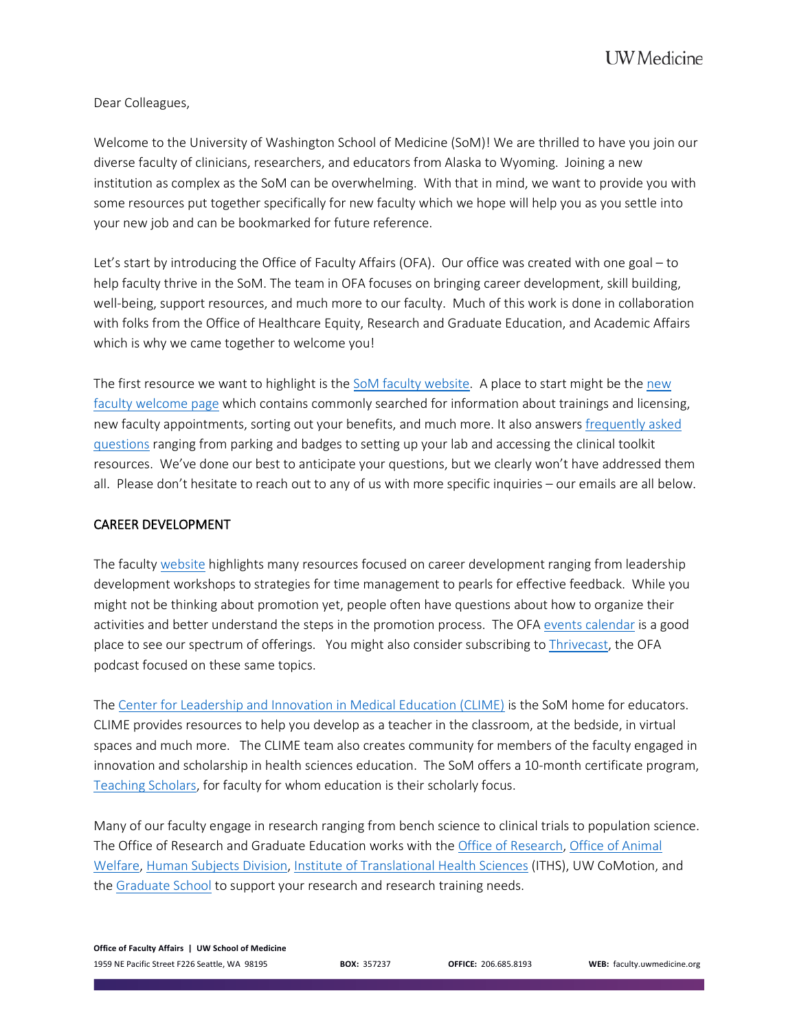Dear Colleagues,

Welcome to the University of Washington School of Medicine (SoM)! We are thrilled to have you join our diverse faculty of clinicians, researchers, and educators from Alaska to Wyoming. Joining a new institution as complex as the SoM can be overwhelming. With that in mind, we want to provide you with some resources put together specifically for new faculty which we hope will help you as you settle into your new job and can be bookmarked for future reference.

Let's start by introducing the Office of Faculty Affairs (OFA). Our office was created with one goal – to help faculty thrive in the SoM. The team in OFA focuses on bringing career development, skill building, well-being, support resources, and much more to our faculty. Much of this work is done in collaboration with folks from the Office of Healthcare Equity, Research and Graduate Education, and Academic Affairs which is why we came together to welcome you!

The first resource we want to highlight is th[e SoM faculty website.](https://faculty.uwmedicine.org/) A place to start might be the [new](https://faculty.uwmedicine.org/new-faculty-welcome/)  [faculty welcome page](https://faculty.uwmedicine.org/new-faculty-welcome/) which contains commonly searched for information about trainings and licensing, new faculty appointments, sorting out your benefits, and much more. It also answers [frequently asked](https://faculty.uwmedicine.org/frequently-asked-questions/)  [questions](https://faculty.uwmedicine.org/frequently-asked-questions/) ranging from parking and badges to setting up your lab and accessing the clinical toolkit resources. We've done our best to anticipate your questions, but we clearly won't have addressed them all. Please don't hesitate to reach out to any of us with more specific inquiries – our emails are all below.

### CAREER DEVELOPMENT

The faculty [website](https://faculty.uwmedicine.org/) highlights many resources focused on career development ranging from leadership development workshops to strategies for time management to pearls for effective feedback. While you might not be thinking about promotion yet, people often have questions about how to organize their activities and better understand the steps in the promotion process. The OFA [events calendar](https://faculty.uwmedicine.org/events-calendar/) is a good place to see our spectrum of offerings. You might also consider subscribing to [Thrivecast,](https://faculty.uwmedicine.org/thrivecast-podcast/) the OFA podcast focused on these same topics.

The [Center for Leadership and Innovation in Medical Education \(CLIME\)](https://clime.washington.edu/) is the SoM home for educators. CLIME provides resources to help you develop as a teacher in the classroom, at the bedside, in virtual spaces and much more. The CLIME team also creates community for members of the faculty engaged in innovation and scholarship in health sciences education. The SoM offers a 10-month certificate program, [Teaching Scholars,](http://bime.uw.edu/teaching-scholars-overview/) for faculty for whom education is their scholarly focus.

Many of our faculty engage in research ranging from bench science to clinical trials to population science. The Office of Research and Graduate Education works with the [Office of Research,](https://www.washington.edu/research/) [Office of Animal](https://oaw.washington.edu/)  [Welfare,](https://oaw.washington.edu/) [Human Subjects Division,](https://www.washington.edu/research/hsd/) [Institute of Translational Health Sciences](https://www.iths.org/) (ITHS), UW CoMotion, and the [Graduate School](https://www.grad.washington.edu/) to support your research and research training needs.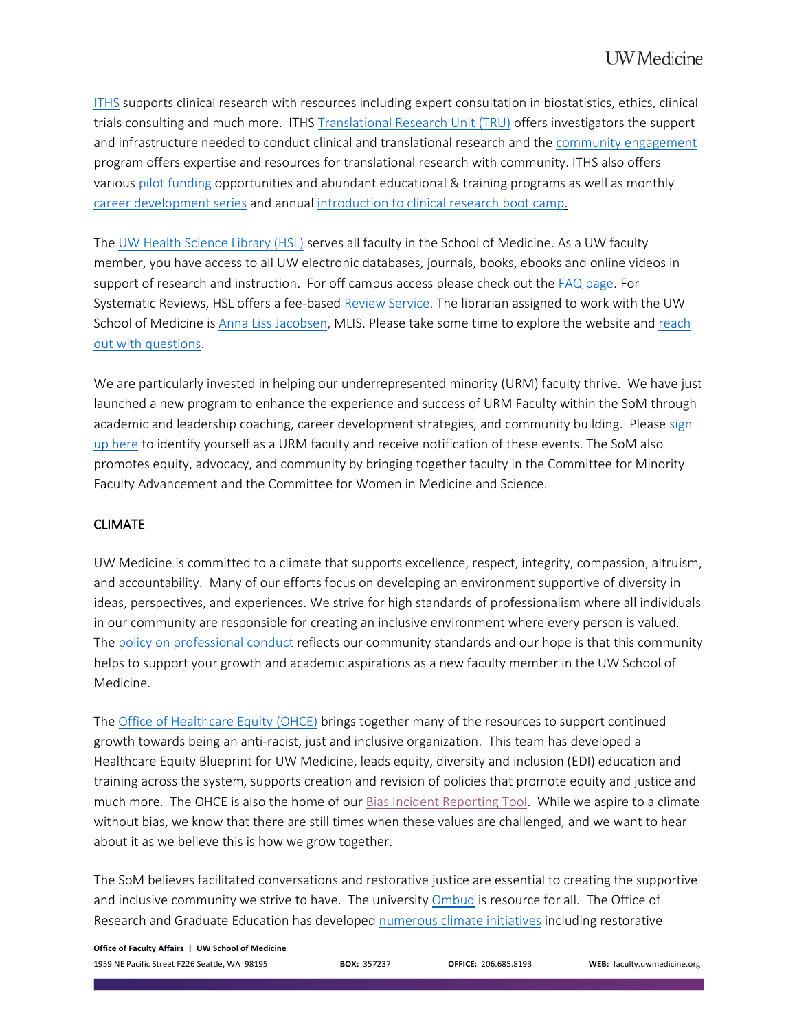[ITHS](https://faculty.uwmedicine.org/research-skills/) supports clinical research with resources including expert consultation in biostatistics, ethics, clinical trials consulting and much more. ITHS [Translational Research Unit \(TRU\)](https://www.iths.org/investigators/units/tru/) offers investigators the support and infrastructure needed to conduct clinical and translational research and the [community engagement](https://www.iths.org/community/) program offers expertise and resources for translational research with community. ITHS also offers various [pilot funding](https://www.iths.org/investigators/funding/) opportunities and abundant educational & training programs as well as monthly [career development series](https://www.iths.org/news-events/calendar/cat_ids%7E84/) and annua[l introduction to clinical research boot camp.](https://www.iths.org/?p=30555)

The [UW Health Science Library \(HSL\)](https://hsl.uw.edu/) serves all faculty in the School of Medicine. As a UW faculty member, you have access to all UW electronic databases, journals, books, ebooks and online videos in support of research and instruction. For off campus access please check out the [FAQ page.](https://hsl.uw.edu/topics/access-faq/) For Systematic Reviews, HSL offers a fee-base[d Review Service.](https://guides.lib.uw.edu/hsl/sr/home) The librarian assigned to work with the UW School of Medicine is [Anna Liss Jacobsen,](https://guides.lib.uw.edu/annaliss) MLIS. Please take some time to explore the website and [reach](https://hsl.uw.edu/topics/ask-us/)  [out with questions.](https://hsl.uw.edu/topics/ask-us/)

We are particularly invested in helping our underrepresented minority (URM) faculty thrive. We have just launched a new program to enhance the experience and success of URM Faculty within the SoM through academic and leadership coaching, career development strategies, and community building. Please [sign](https://redcap.iths.org/surveys/?s=97TLD494R3)  [up here t](https://redcap.iths.org/surveys/?s=97TLD494R3)o identify yourself as a URM faculty and receive notification of these events. The SoM also promotes equity, advocacy, and community by bringing together faculty in the Committee for Minority Faculty Advancement and the Committee for Women in Medicine and Science.

# CLIMATE

UW Medicine is committed to a climate that supports excellence, respect, integrity, compassion, altruism, and accountability. Many of our efforts focus on developing an environment supportive of diversity in ideas, perspectives, and experiences. We strive for high standards of professionalism where all individuals in our community are responsible for creating an inclusive environment where every person is valued. The [policy on professional conduct](https://www.uwmedicine.org/about/policy-on-professional-conduct) reflects our community standards and our hope is that this community helps to support your growth and academic aspirations as a new faculty member in the UW School of Medicine.

The [Office of Healthcare Equity](https://depts.washington.edu/hcequity/welcome/) (OHCE) brings together many of the resources to support continued growth towards being an anti-racist, just and inclusive organization. This team has developed a Healthcare Equity Blueprint for UW Medicine, leads equity, diversity and inclusion (EDI) education and training across the system, supports creation and revision of policies that promote equity and justice and much more. The OHCE is also the home of our [Bias Incident](https://redcap.iths.org/surveys/?s=RH49HNT8EA) Reporting Tool. While we aspire to a climate without bias, we know that there are still times when these values are challenged, and we want to hear about it as we believe this is how we grow together.

The SoM believes facilitated conversations and restorative justice are essential to creating the supportive and inclusive community we strive to have. The university [Ombud](https://www.washington.edu/ombud/) is resource for all. The Office of Research and Graduate Education has developed [numerous climate initiatives](https://research-grad-ed.uwmedicine.org/) including restorative

**Office of Faculty Affairs | UW School of Medicine** 1959 NE Pacific Street F226 Seattle, WA 98195 **BOX:** 357237 **OFFICE:** 206.685.8193 **WEB:** faculty.uwmedicine.org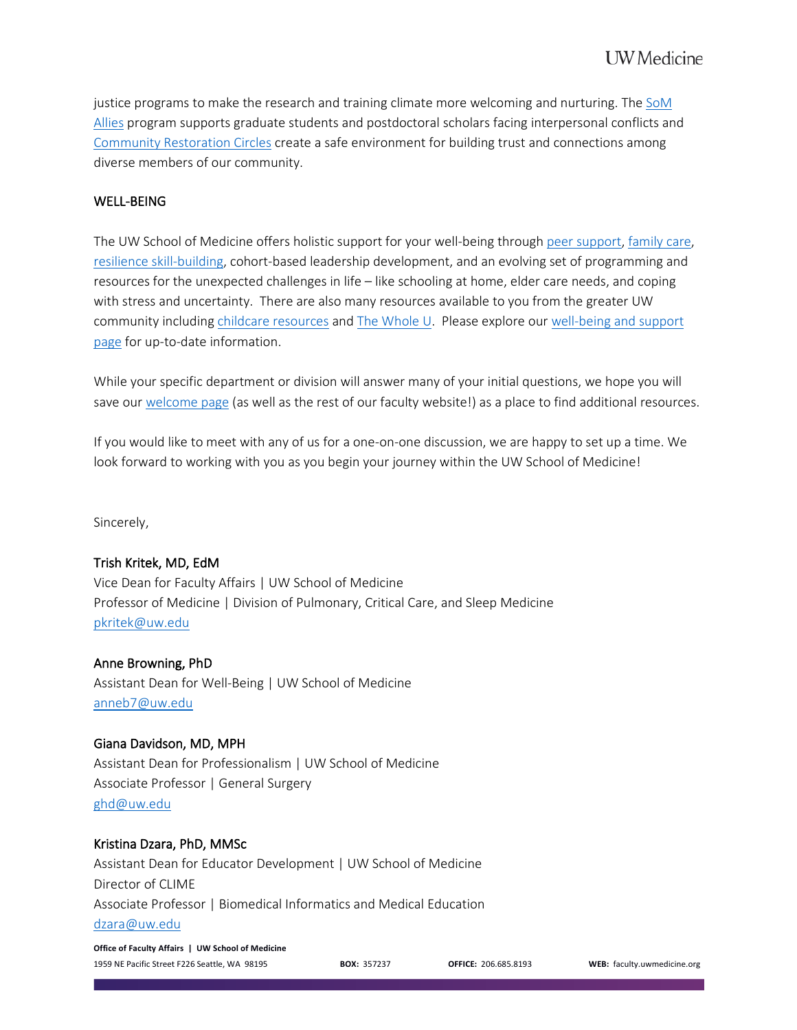justice programs to make the research and training climate more welcoming and nurturing. The [SoM](https://research-grad-ed.uwmedicine.org/climate/som-allies/)  [Allies](https://research-grad-ed.uwmedicine.org/climate/som-allies/) program supports graduate students and postdoctoral scholars facing interpersonal conflicts and [Community Restoration Circles](https://research-grad-ed.uwmedicine.org/climate/community-restoration-circles/) create a safe environment for building trust and connections among diverse members of our community.

## WELL-BEING

The UW School of Medicine offers holistic support for your well-being through [peer support,](https://faculty.uwmedicine.org/p2p/) [family care,](https://faculty.uwmedicine.org/family-care/) [resilience skill-building,](https://faculty.uwmedicine.org/resilience-programming/) cohort-based leadership development, and an evolving set of programming and resources for the unexpected challenges in life – like schooling at home, elder care needs, and coping with stress and uncertainty. There are also many resources available to you from the greater UW community including [childcare resources](https://hr.uw.edu/caregiving/child-care/options-and-resources/) and [The Whole U.](https://thewholeu.uw.edu/) Please explore ou[r well-being and support](https://faculty.uwmedicine.org/wellbeing-and-support/)  [page](https://faculty.uwmedicine.org/wellbeing-and-support/) for up-to-date information.

While your specific department or division will answer many of your initial questions, we hope you will save our [welcome page](https://faculty.uwmedicine.org/new-faculty-welcome/) (as well as the rest of our faculty website!) as a place to find additional resources.

If you would like to meet with any of us for a one-on-one discussion, we are happy to set up a time. We look forward to working with you as you begin your journey within the UW School of Medicine!

Sincerely,

### Trish Kritek, MD, EdM

Vice Dean for Faculty Affairs | UW School of Medicine Professor of Medicine | Division of Pulmonary, Critical Care, and Sleep Medicine [pkritek@uw.edu](mailto:pkritek@uw.edu)

### Anne Browning, PhD

Assistant Dean for Well-Being | UW School of Medicine [anneb7@uw.edu](mailto:anneb7@uw.edu)

### Giana Davidson, MD, MPH

Assistant Dean for Professionalism | UW School of Medicine Associate Professor | General Surgery [ghd@uw.edu](mailto:ghd@uw.edu)

### Kristina Dzara, PhD, MMSc

Assistant Dean for Educator Development | UW School of Medicine Director of CLIME Associate Professor | Biomedical Informatics and Medical Education [dzara@uw.edu](mailto:dzara@uw.edu)

**Office of Faculty Affairs | UW School of Medicine** 1959 NE Pacific Street F226 Seattle, WA 98195 **BOX:** 357237 **OFFICE:** 206.685.8193 **WEB:** faculty.uwmedicine.org